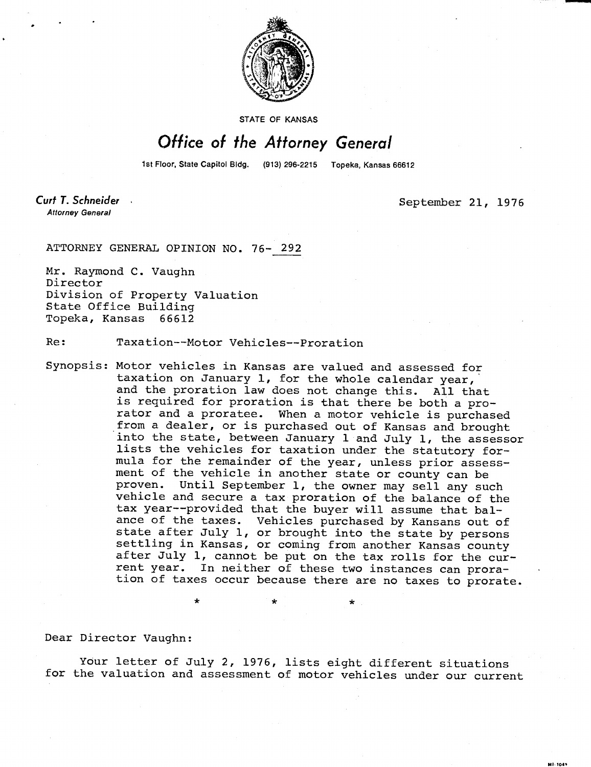

STATE OF KANSAS

## Office of the Attorney General

1st Floor, State Capitol Bldg. (913) 296-2215 Topeka, Kansas 66612

Curt T. Schneider **Attorney General** 

September 21, 1976

**MI-1043** 

ATTORNEY GENERAL OPINION NO. 76- 292

Mr. Raymond C. Vaughn Director Division of Property Valuation State Office Building Topeka, Kansas 66612

Re: Taxation--Motor Vehicles--Proration

Synopsis: Motor vehicles in Kansas are valued and assessed for taxation on January 1, for the whole calendar year, and the proration law does not change this. All that is required for proration is that there be both a prorator and a proratee. When a motor vehicle is purchased from a dealer, or is purchased out of Kansas and brought into the state, between January 1 and July 1, the assessor lists the vehicles for taxation under the statutory formula for the remainder of the year, unless prior assessment of the vehicle in another state or county can be proven. Until September 1, the owner may sell any such vehicle and secure a tax proration of the balance of the tax year--provided that the buyer will assume that balance of the taxes. Vehicles purchased by Kansans out of state after July 1, or brought into the state by persons settling in Kansas, or coming from another Kansas county after July 1, cannot be put on the tax rolls for the current year. In neither of these two instances can proration of taxes occur because there are no taxes to prorate.

Dear Director Vaughn:

Your letter of July 2, 1976, lists eight different situations for the valuation and assessment of motor vehicles under our current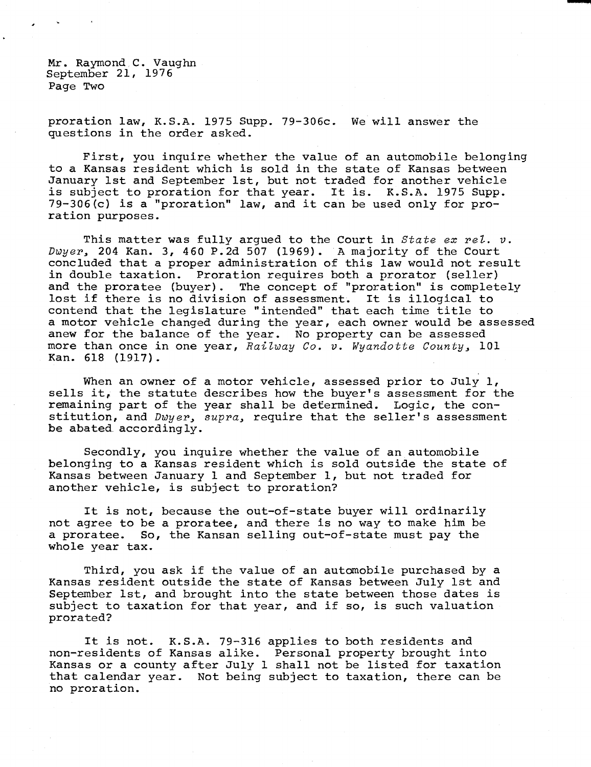Mr. Raymond C. Vaughn September 21, 1976 Page Two

proration law, K.S.A. 1975 Supp. 79-306c. We will answer the questions in the order asked.

First, you inquire whether the value of an automobile belonging to a Kansas resident which is sold in the state of Kansas between January 1st and September 1st, but not traded for another vehicle is subject to proration for that year. It is. K.S.A. 1975 Supp. 79-306(c) is a "proration" law, and it can be used only for proration purposes.

This matter was fully argued to the Court in  $State$  ex rel.  $v$ .  $Dwyer$ , 204 Kan. 3, 460 P.2d 507 (1969). A majority of the Court concluded that a proper administration of this law would not result in double taxation. Proration requires both a prorator (seller) and the proratee (buyer). The concept of "proration" is completely lost if there is no division of assessment. It is illogical to contend that the legislature "intended" that each time title to a motor vehicle changed during the year, each owner would be assessed anew for the balance of the year. No property can be assessed more than once in one year, Railway Co. v. Wyandotte County, 101 Kan. 618 (1917).

When an owner of a motor vehicle, assessed prior to July 1, sells it, the statute describes how the buyer's assessment for the remaining part of the year shall be determined. Logic, the constitution, and  $Dwyer$ , supra, require that the seller's assessment be abated. accordingly.

Secondly, you inquire whether the value of an automobile belonging to a Kansas resident which is sold outside the state of Kansas between January 1 and September 1, but not traded for another vehicle, is subject to proration?

It is not, because the out-of-state buyer will ordinarily not agree to be a proratee, and there is no way to make him be a proratee. So, the Kansan selling out-of-state must pay the whole year tax.

Third, you ask if the value of an automobile purchased by a Kansas resident outside the state of Kansas between July 1st and September 1st, and brought into the state between those dates is subject to taxation for that year, and if so, is such valuation prorated?

It is not. K.S.A. 79-316 applies to both residents and non-residents of Kansas alike. Personal property brought into Kansas or a county after July 1 shall not be listed for taxation that calendar year. Not being subject to taxation, there can be no proration.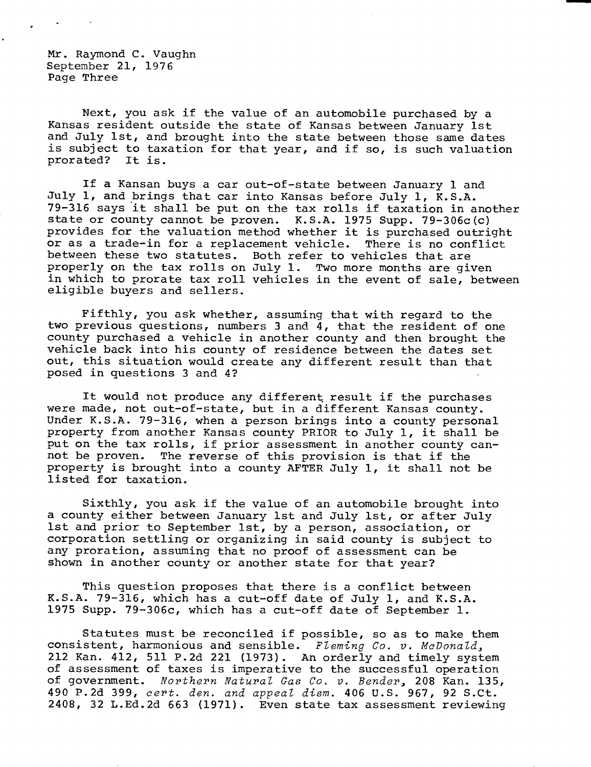Mr. Raymond C. Vaughn September 21, 1976 Page Three

Next, you ask if the value of an automobile purchased by a Kansas resident outside the state of Kansas between January 1st and July 1st, and brought into the state between those same dates is subject to taxation for that year, and if so, is such valuation prorated? It is. prorated?

If a Kansan buys a car out-of-state between January 1 and July 1, and brings that car into Kansas before July 1, K.S.A. 79-316 says it shall be put on the tax rolls if taxation in another state or county cannot be proven. K.S.A. 1975 Supp. 79-306c(c) provides for the valuation method whether it is purchased outright or as a trade-in for a replacement vehicle. There is no conflict between these two statutes. Both refer to vehicles that are properly on the tax rolls on July 1. Two more months are given in which to prorate tax roll vehicles in the event of sale, between eligible buyers and sellers.

Fifthly, you ask whether, assuming that with regard to the two previous questions, numbers 3 and 4, that the resident of one county purchased a vehicle in another county and then brought the vehicle back into his county of residence between the dates set out, this situation would create any different result than that posed in questions 3 and 4?

It would not produce any different result if the purchases were made, not out-of-state, but in a different Kansas county. Under K.S.A. 79-316, when a person brings into a county personal property from another Kansas county PRIOR to July 1, it shall be put on the tax rolls, if prior assessment in another county cannot be proven. The reverse of this provision is that if the property is brought into a county AFTER July 1, it shall not be listed for taxation.

Sixthly, you ask if the value of an automobile brought into a county either between January 1st and July 1st, or after July 1st and prior to September 1st, by a person, association, or corporation settling or organizing in said county is subject to any proration, assuming that no proof of assessment can be shown in another county or another state for that year?

This question proposes that there is a conflict between K.S.A. 79-316, which has a cut-off date of July 1, and K.S.A. 1975 Supp. 79-306c, which has a cut-off date of September 1.

Statutes must be reconciled if possible, so as to make them consistent, harmonious and sensible. Fleming Co. v. McDonald, 212 Kan. 412, 511 P.2d 221 (1973). An orderly and timely system of assessment of taxes is imperative to the successful operation of government. Northern Natural Gas Co. v. Bender, 208 Kan. 135, 490 P.2d 399, cert. den. and appeal dism. 406 U.S. 967, 92 S.Ct. 2408, 32 L.Ed.2d 663 (1971). Even state tax assessment reviewing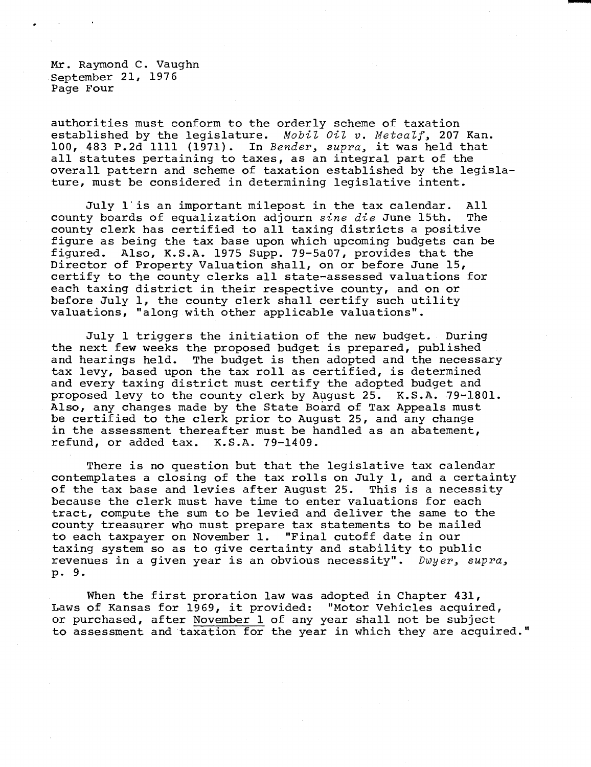Mr. Raymond C. Vaughn September 21, 1976 Page Four

authorities must conform to the orderly scheme of taxation established by the legislature. Mobil Oil v. Metcalf, 207 Kan. 100, 483 P.2d 1111 (1971). In Bender, supra, it was held that all statutes pertaining to taxes, as an integral part of the overall pattern and scheme of taxation established by the legislature, must be considered in determining legislative intent.

July 1 is an important milepost in the tax calendar. All county boards of equalization adjourn sine die June 15th. The county clerk has certified to all taxing districts a positive figure as being the tax base upon which upcoming budgets can be figured. Also, K.S.A. 1975 Supp. 79-5a07, provides that the Director of Property Valuation shall, on or before June 15, certify to the county clerks all state-assessed valuations for each taxing district in their respective county, and on or before July 1, the county clerk shall certify such utility valuations, "along with other applicable valuations".

July 1 triggers the initiation of the new budget. During the next few weeks the proposed budget is prepared, published and hearings held. The budget is then adopted and the necessary tax levy, based upon the tax roll as certified, is determined and every taxing district must certify the adopted budget and proposed levy to the county clerk by August 25. K.S.A. 79-1801. Also, any changes made by the State Board of Tax Appeals must be certified to the clerk prior to August 25, and any change in the assessment thereafter must be handled as an abatement, refund, or added tax. K.S.A. 79-1409.

There is no question but that the legislative tax calendar contemplates a closing of the tax rolls on July 1, and a certainty of the tax base and levies after August 25. This is a necessity because the clerk must have time to enter valuations for each tract, compute the sum to be levied and deliver the same to the county treasurer who must prepare tax statements to be mailed to each taxpayer on November 1. "Final cutoff date in our taxing system so as to give certainty and stability to public revenues in a given year is an obvious necessity".  $Dwyer$ ,  $supra$ , p. 9.

When the first proration law was adopted in Chapter 431, Laws of Kansas for 1969, it provided: "Motor Vehicles acquired, or purchased, after November 1 of any year shall not be subject to assessment and taxation for the year in which they are acquired."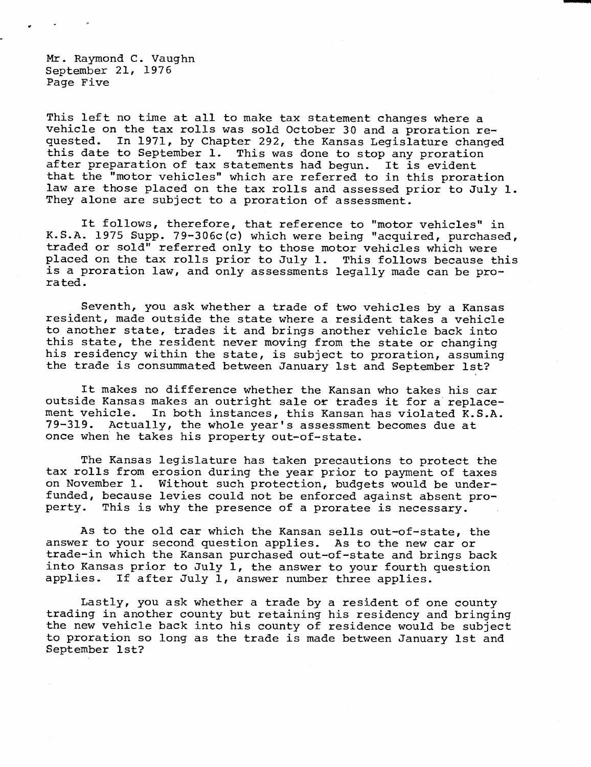Mr. Raymond C. Vaughn September 21, 1976 Page Five

This left no time at all to make tax statement changes where a vehicle on the tax rolls was sold October 30 and a proration requested. In 1971, by Chapter 292, the Kansas Legislature changed this date to September 1. This was done to stop any proration after preparation of tax statements had begun. It is evident that the "motor vehicles" which are referred to in this proration law are those placed on the tax rolls and assessed prior to July 1. They alone are subject to a proration of assessment.

It follows, therefore, that reference to "motor vehicles" in K.S.A. 1975 Supp. 79-306c(c) which were being "acquired, purchased, traded or sold" referred only to those motor vehicles which were placed on the tax rolls prior to July 1. This follows because this is a proration law, and only assessments legally made can be prorated.

Seventh, you ask whether a trade of two vehicles by a Kansas resident, made outside the state where a resident takes a vehicle to another state, trades it and brings another vehicle back into this state, the resident never moving from the state or changing his residency within the state, is subject to proration, assuming the trade is consummated between January 1st and September 1st?

It makes no difference whether the Kansan who takes his car outside Kansas makes an outright sale or trades it for a replacement vehicle. In both instances, this Kansan has violated K.S.A. 79-319. Actually, the whole year's assessment becomes due at once when he takes his property out-of-state.

The Kansas legislature has taken precautions to protect the tax rolls from erosion during the year prior to payment of taxes on November 1. Without such protection, budgets would be underfunded, because levies could not be enforced against absent property. This is why the presence of a proratee is necessary.

As to the old car which the Kansan sells out-of-state, the answer to your second question applies. As to the new car or trade-in which the Kansan purchased out-of-state and brings back into Kansas prior to July 1, the answer to your fourth question applies. If after July 1, answer number three applies.

Lastly, you ask whether a trade by a resident of one county trading in another county but retaining his residency and bringing the new vehicle back into his county of residence would be subject to proration so long as the trade is made between January 1st and September 1st?